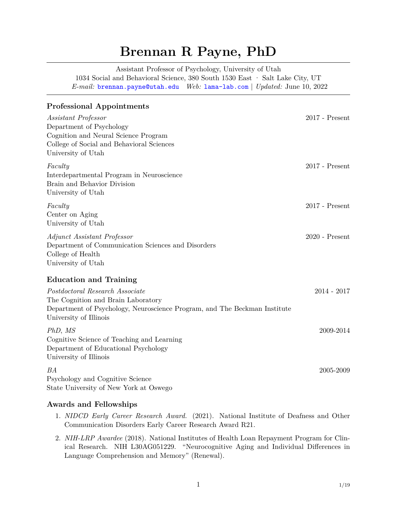# **Brennan R Payne, PhD**

Assistant Professor of Psychology, University of Utah 1034 Social and Behavioral Science, 380 South 1530 East · Salt Lake City, UT *E-mail:* [brennan.payne@utah.edu](mailto:) *Web:* [lama-lab.com](http://lama-lab.com) | *Updated:* June 10, 2022

| <b>Professional Appointments</b>                                                                                                                                             |                  |
|------------------------------------------------------------------------------------------------------------------------------------------------------------------------------|------------------|
| Assistant Professor<br>Department of Psychology<br>Cognition and Neural Science Program<br>College of Social and Behavioral Sciences<br>University of Utah                   | $2017$ - Present |
| Faculty<br>Interdepartmental Program in Neuroscience<br>Brain and Behavior Division<br>University of Utah                                                                    | $2017$ - Present |
| Faculty<br>Center on Aging<br>University of Utah                                                                                                                             | $2017$ - Present |
| Adjunct Assistant Professor<br>Department of Communication Sciences and Disorders<br>College of Health<br>University of Utah                                                 | $2020$ - Present |
| <b>Education and Training</b>                                                                                                                                                |                  |
| Postdoctoral Research Associate<br>The Cognition and Brain Laboratory<br>Department of Psychology, Neuroscience Program, and The Beckman Institute<br>University of Illinois | $2014 - 2017$    |
| PhD, MS<br>Cognitive Science of Teaching and Learning<br>Department of Educational Psychology<br>University of Illinois                                                      | 2009-2014        |
| BА<br>Psychology and Cognitive Science<br>State University of New York at Oswego                                                                                             | 2005-2009        |

# **Awards and Fellowships**

- 1. *NIDCD Early Career Research Award.* (2021). National Institute of Deafness and Other Communication Disorders Early Career Research Award R21.
- 2. *NIH-LRP Awardee* (2018). National Institutes of Health Loan Repayment Program for Clinical Research. NIH L30AG051229. "Neurocognitive Aging and Individual Differences in Language Comprehension and Memory" (Renewal).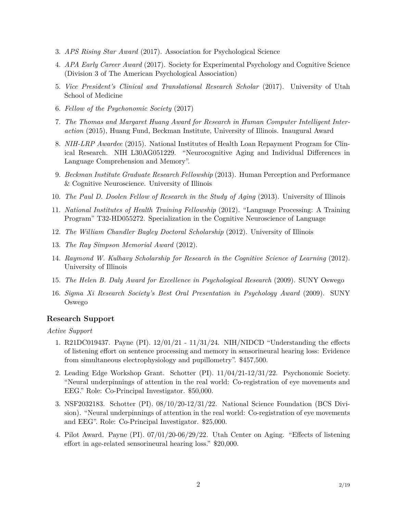- 3. *APS Rising Star Award* (2017). Association for Psychological Science
- 4. *APA Early Career Award* (2017). Society for Experimental Psychology and Cognitive Science (Division 3 of The American Psychological Association)
- 5. *Vice President's Clinical and Translational Research Scholar* (2017). University of Utah School of Medicine
- 6. *Fellow of the Psychonomic Society* (2017)
- 7. *The Thomas and Margaret Huang Award for Research in Human Computer Intelligent Interaction* (2015), Huang Fund, Beckman Institute, University of Illinois. Inaugural Award
- 8. *NIH-LRP Awardee* (2015). National Institutes of Health Loan Repayment Program for Clinical Research. NIH L30AG051229. "Neurocognitive Aging and Individual Differences in Language Comprehension and Memory".
- 9. *Beckman Institute Graduate Research Fellowship* (2013). Human Perception and Performance & Cognitive Neuroscience. University of Illinois
- 10. *The Paul D. Doolen Fellow of Research in the Study of Aging* (2013). University of Illinois
- 11. *National Institutes of Health Training Fellowship* (2012). "Language Processing: A Training Program" T32-HD055272. Specialization in the Cognitive Neuroscience of Language
- 12. *The William Chandler Bagley Doctoral Scholarship* (2012). University of Illinois
- 13. *The Ray Simpson Memorial Award* (2012).
- 14. *Raymond W. Kulhavy Scholarship for Research in the Cognitive Science of Learning* (2012). University of Illinois
- 15. *The Helen B. Daly Award for Excellence in Psychological Research* (2009). SUNY Oswego
- 16. *Sigma Xi Research Society's Best Oral Presentation in Psychology Award* (2009). SUNY Oswego

#### **Research Support**

*Active Support*

- 1. R21DC019437. Payne (PI). 12/01/21 11/31/24. NIH/NIDCD "Understanding the effects of listening effort on sentence processing and memory in sensorineural hearing loss: Evidence from simultaneous electrophysiology and pupillometry". \$457,500.
- 2. Leading Edge Workshop Grant. Schotter (PI). 11/04/21-12/31/22. Psychonomic Society. "Neural underpinnings of attention in the real world: Co-registration of eye movements and EEG." Role: Co-Principal Investigator. \$50,000.
- 3. NSF2032183. Schotter (PI). 08/10/20-12/31/22. National Science Foundation (BCS Division). "Neural underpinnings of attention in the real world: Co-registration of eye movements and EEG". Role: Co-Principal Investigator. \$25,000.
- 4. Pilot Award. Payne (PI). 07/01/20-06/29/22. Utah Center on Aging. "Effects of listening effort in age-related sensorineural hearing loss." \$20,000.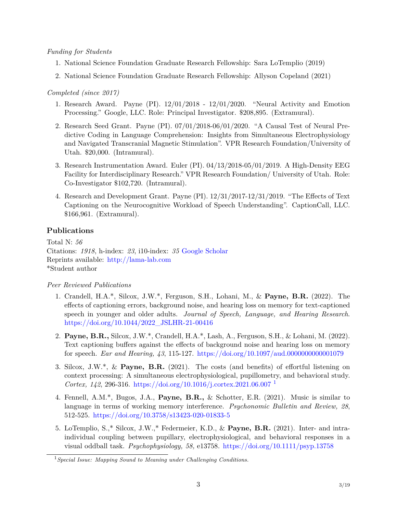## *Funding for Students*

- 1. National Science Foundation Graduate Research Fellowship: Sara LoTemplio (2019)
- 2. National Science Foundation Graduate Research Fellowship: Allyson Copeland (2021)

# *Completed (since 2017)*

- 1. Research Award. Payne (PI). 12/01/2018 12/01/2020. "Neural Activity and Emotion Processing." Google, LLC. Role: Principal Investigator. \$208,895. (Extramural).
- 2. Research Seed Grant. Payne (PI). 07/01/2018-06/01/2020. "A Causal Test of Neural Predictive Coding in Language Comprehension: Insights from Simultaneous Electrophysiology and Navigated Transcranial Magnetic Stimulation". VPR Research Foundation/University of Utah. \$20,000. (Intramural).
- 3. Research Instrumentation Award. Euler (PI). 04/13/2018-05/01/2019. A High-Density EEG Facility for Interdisciplinary Research." VPR Research Foundation/ University of Utah. Role: Co-Investigator \$102,720. (Intramural).
- 4. Research and Development Grant. Payne (PI). 12/31/2017-12/31/2019. "The Effects of Text Captioning on the Neurocognitive Workload of Speech Understanding". CaptionCall, LLC. \$166,961. (Extramural).

# **Publications**

Total N: *56* Citations: *1918*, h-index: *23*, i10-index: *35* [Google Scholar](https://scholar.google.com/citations?user=MBRJGr0AAAAJ&hl=en&oi=ao) Reprints available: <http://lama-lab.com> \*Student author

# *Peer Reviewed Publications*

- 1. Crandell, H.A.\*, Silcox, J.W.\*, Ferguson, S.H., Lohani, M., & **Payne, B.R.** (2022). The effects of captioning errors, background noise, and hearing loss on memory for text-captioned speech in younger and older adults. *Journal of Speech, Language, and Hearing Research*. [https://doi.org/10.1044/2022\\_JSLHR-21-00416](https://doi.org/10.1044/2022_JSLHR-21-00416)
- 2. **Payne, B.R.,** Silcox, J.W.\*, Crandell, H.A.\*, Lash, A., Ferguson, S.H., & Lohani, M. (2022). Text captioning buffers against the effects of background noise and hearing loss on memory for speech. *Ear and Hearing, 43*, 115-127. <https://doi.org/10.1097/aud.0000000000001079>
- 3. Silcox, J.W.\*, & **Payne, B.R.** (2021). The costs (and benefits) of effortful listening on context processing: A simultaneous electrophysiological, pupillometry, and behavioral study. *Cortex, 142*, 296-316. <https://doi.org/10.1016/j.cortex.2021.06.007> [1](#page-2-0)
- 4. Fennell, A.M.\*, Bugos, J.A., **Payne, B.R.,** & Schotter, E.R. (2021). Music is similar to language in terms of working memory interference. *Psychonomic Bulletin and Review, 28*, 512-525. <https://doi.org/10.3758/s13423-020-01833-5>
- 5. LoTemplio, S.,\* Silcox, J.W.,\* Federmeier, K.D., & **Payne, B.R.** (2021). Inter- and intraindividual coupling between pupillary, electrophysiological, and behavioral responses in a visual oddball task. *Psychophysiology, 58,* e13758. <https://doi.org/10.1111/psyp.13758>

<span id="page-2-0"></span><sup>1</sup>*Special Issue: Mapping Sound to Meaning under Challenging Conditions.*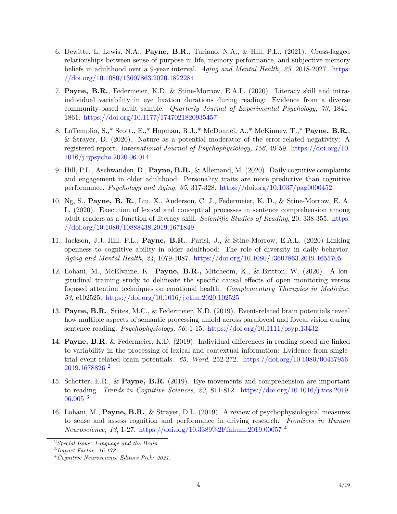- 6. Dewitte, L, Lewis, N.A., **Payne, B.R.**, Turiano, N.A., & Hill, P.L., (2021). Cross-lagged relationships between sense of purpose in life, memory performance, and subjective memory beliefs in adulthood over a 9-year interval. *Aging and Mental Health, 25*, 2018-2027. [https:](https://doi.org/10.1080/13607863.2020.1822284) [//doi.org/10.1080/13607863.2020.1822284](https://doi.org/10.1080/13607863.2020.1822284)
- 7. **Payne, B.R.**, Federmeier, K.D. & Stine-Morrow, E.A.L. (2020). Literacy skill and intraindividual variability in eye fixation durations during reading: Evidence from a diverse community-based adult sample. *Quarterly Journal of Experimental Psychology, 73*, 1841- 1861. <https://doi.org/10.1177/1747021820935457>
- 8. LoTemplio, S.,\* Scott., E.,\* Hopman, R.J.,\* McDonnel, A.,\* McKinney, T.,\* **Payne, B.R.**, & Strayer, D. (2020). Nature as a potential moderator of the error-related negativity: A registered report. *International Journal of Psychophysiology, 156*, 49-59. [https://doi.org/10.](https://doi.org/10.1016/j.ijpsycho.2020.06.014) [1016/j.ijpsycho.2020.06.014](https://doi.org/10.1016/j.ijpsycho.2020.06.014)
- 9. Hill, P.L., Aschwanden, D., **Payne, B.R.**, & Allemand, M. (2020). Daily cognitive complaints and engagement in older adulthood: Personality traits are more predictive than cognitive performance. *Psychology and Aging, 35*, 317-328. <https://doi.org/10.1037/pag0000452>
- 10. Ng, S., **Payne, B. R.**, Liu, X., Anderson, C. J., Federmeier, K. D., & Stine-Morrow, E. A. L. (2020). Execution of lexical and conceptual processes in sentence comprehension among adult readers as a function of literacy skill. *Scientific Studies of Reading*, 20, 338-355. [https:](https://doi.org/10.1080/10888438.2019.1671849) [//doi.org/10.1080/10888438.2019.1671849](https://doi.org/10.1080/10888438.2019.1671849)
- 11. Jackson, J.J. Hill, P.L., **Payne, B.R.**, Parisi, J., & Stine-Morrow, E.A.L. (2020) Linking openness to cognitive ability in older adulthood: The role of diversity in daily behavior. *Aging and Mental Health, 24*, 1079-1087. <https://doi.org/10.1080/13607863.2019.1655705>
- 12. Lohani, M., McElvaine, K., **Payne, B.R.,** Mitcheom, K., & Britton, W. (2020). A longitudinal training study to delineate the specific causal effects of open monitoring versus focused attention techniques on emotional health. *Complementary Therapies in Medicine, 53*, e102525. <https://doi.org/10.1016/j.ctim.2020.102525>
- 13. **Payne, B.R.**, Stites, M.C., & Federmeier, K.D. (2019). Event-related brain potentials reveal how multiple aspects of semantic processing unfold across parafoveal and foveal vision during sentence reading. *Psychophysiology, 56*, 1-15. <https://doi.org/10.1111/psyp.13432>
- 14. **Payne, B.R.** & Federmeier, K.D. (2019). Individual differences in reading speed are linked to variability in the processing of lexical and contextual information: Evidence from singletrial event-related brain potentials. *65, Word*, 252-272. [https://doi.org/10.1080/00437956.](https://doi.org/10.1080/00437956.2019.1678826) [2019.1678826](https://doi.org/10.1080/00437956.2019.1678826) [2](#page-3-0)
- 15. Schotter, E.R., & **Payne, B.R.** (2019). Eye movements and comprehension are important to reading. *Trends in Cognitive Sciences, 23*, 811-812. [https://doi.org/10.1016/j.tics.2019.](https://doi.org/10.1016/j.tics.2019.06.005) [06.005](https://doi.org/10.1016/j.tics.2019.06.005) [3](#page-3-1)
- 16. Lohani, M., **Payne, B.R.**, & Strayer, D.L. (2019). A review of psychophysiological measures to sense and assess cognition and performance in driving research. *Frontiers in Human Neuroscience, 13*, 1-27. <https://doi.org/10.3389%2Ffnhum.2019.00057> [4](#page-3-2)

<span id="page-3-0"></span><sup>2</sup>*Special Issue: Language and the Brain*

<span id="page-3-1"></span><sup>3</sup> *Impact Factor: 16.173*

<span id="page-3-2"></span><sup>4</sup>*Cognitive Neuroscience Editors Pick: 2021.*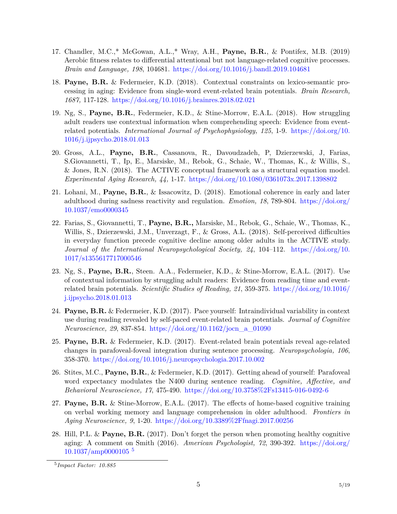- 17. Chandler, M.C.,\* McGowan, A.L.,\* Wray, A.H., **Payne, B.R.**, & Pontifex, M.B. (2019) Aerobic fitness relates to differential attentional but not language-related cognitive processes. *Brain and Language, 198*, 104681. <https://doi.org/10.1016/j.bandl.2019.104681>
- 18. **Payne, B.R.** & Federmeier, K.D. (2018). Contextual constraints on lexico-semantic processing in aging: Evidence from single-word event-related brain potentials. *Brain Research, 1687,* 117-128. <https://doi.org/10.1016/j.brainres.2018.02.021>
- 19. Ng, S., **Payne, B.R.**, Federmeier, K.D., & Stine-Morrow, E.A.L. (2018). How struggling adult readers use contextual information when comprehending speech: Evidence from eventrelated potentials. *International Journal of Psychophysiology, 125*, 1-9. [https://doi.org/10.](https://doi.org/10.1016/j.ijpsycho.2018.01.013) [1016/j.ijpsycho.2018.01.013](https://doi.org/10.1016/j.ijpsycho.2018.01.013)
- 20. Gross, A.L., **Payne, B.R.**, Cassanova, R., Davoudzadeh, P, Dzierzewski, J, Farias, S.Giovannetti, T., Ip, E., Marsiske, M., Rebok, G., Schaie, W., Thomas, K., & Willis, S., & Jones, R.N. (2018). The ACTIVE conceptual framework as a structural equation model. *Experimental Aging Research, 44,* 1-17. <https://doi.org/10.1080/0361073x.2017.1398802>
- 21. Lohani, M., **Payne, B.R.**, & Issacowitz, D. (2018). Emotional coherence in early and later adulthood during sadness reactivity and regulation. *Emotion, 18*, 789-804. [https://doi.org/](https://doi.org/10.1037/emo0000345) [10.1037/emo0000345](https://doi.org/10.1037/emo0000345)
- 22. Farias, S., Giovannetti, T., **Payne, B.R.,** Marsiske, M., Rebok, G., Schaie, W., Thomas, K., Willis, S., Dzierzewski, J.M., Unverzagt, F., & Gross, A.L. (2018). Self-perceived difficulties in everyday function precede cognitive decline among older adults in the ACTIVE study. *Journal of the International Neuropsychological Society, 24*, 104–112. [https://doi.org/10.](https://doi.org/10.1017/s1355617717000546) [1017/s1355617717000546](https://doi.org/10.1017/s1355617717000546)
- 23. Ng, S., **Payne, B.R.**, Steen. A.A., Federmeier, K.D., & Stine-Morrow, E.A.L. (2017). Use of contextual information by struggling adult readers: Evidence from reading time and eventrelated brain potentials. *Scientific Studies of Reading, 21*, 359-375. [https://doi.org/10.1016/](https://doi.org/10.1016/j.ijpsycho.2018.01.013) [j.ijpsycho.2018.01.013](https://doi.org/10.1016/j.ijpsycho.2018.01.013)
- 24. **Payne, B.R.** & Federmeier, K.D. (2017). Pace yourself: Intraindividual variability in context use during reading revealed by self-paced event-related brain potentials. *Journal of Cognitive Neuroscience, 29*, 837-854. [https://doi.org/10.1162/jocn\\_a\\_01090](https://doi.org/10.1162/jocn_a_01090)
- 25. **Payne, B.R.** & Federmeier, K.D. (2017). Event-related brain potentials reveal age-related changes in parafoveal-foveal integration during sentence processing. *Neuropsychologia, 106*, 358-370. <https://doi.org/10.1016/j.neuropsychologia.2017.10.002>
- 26. Stites, M.C., **Payne, B.R.**, & Federmeier, K.D. (2017). Getting ahead of yourself: Parafoveal word expectancy modulates the N400 during sentence reading. *Cognitive, Affective, and Behavioral Neuroscience, 17*, 475-490. <https://doi.org/10.3758%2Fs13415-016-0492-6>
- 27. **Payne, B.R.** & Stine-Morrow, E.A.L. (2017). The effects of home-based cognitive training on verbal working memory and language comprehension in older adulthood. *Frontiers in Aging Neuroscience, 9*, 1-20. <https://doi.org/10.3389%2Ffnagi.2017.00256>
- 28. Hill, P.L. & **Payne, B.R.** (2017). Don't forget the person when promoting healthy cognitive aging: A comment on Smith (2016). *American Psychologist, 72*, 390-392. [https://doi.org/](https://doi.org/10.1037/amp0000105)  $10.1037/amp0000105$ <sup>[5](#page-4-0)</sup>

<span id="page-4-0"></span><sup>5</sup> *Impact Factor: 10.885*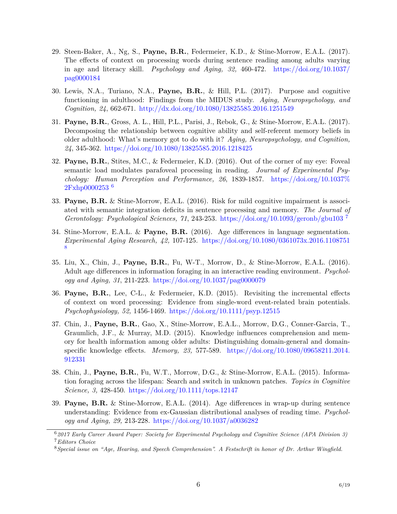- 29. Steen-Baker, A., Ng, S., **Payne, B.R.**, Federmeier, K.D., & Stine-Morrow, E.A.L. (2017). The effects of context on processing words during sentence reading among adults varying in age and literacy skill. *Psychology and Aging, 32,* 460-472. [https://doi.org/10.1037/](https://doi.org/10.1037/pag0000184) [pag0000184](https://doi.org/10.1037/pag0000184)
- 30. Lewis, N.A., Turiano, N.A., **Payne, B.R.**, & Hill, P.L. (2017). Purpose and cognitive functioning in adulthood: Findings from the MIDUS study. *Aging, Neuropsychology, and Cognition, 24*, 662-671. <http://dx.doi.org/10.1080/13825585.2016.1251549>
- 31. **Payne, B.R.**, Gross, A. L., Hill, P.L., Parisi, J., Rebok, G., & Stine-Morrow, E.A.L. (2017). Decomposing the relationship between cognitive ability and self-referent memory beliefs in older adulthood: What's memory got to do with it? *Aging, Neuropsychology, and Cognition, 24*, 345-362. <https://doi.org/10.1080/13825585.2016.1218425>
- 32. **Payne, B.R.**, Stites, M.C., & Federmeier, K.D. (2016). Out of the corner of my eye: Foveal semantic load modulates parafoveal processing in reading. *Journal of Experimental Psychology: Human Perception and Performance, 26*, 1839-1857. [https://doi.org/10.1037%](https://doi.org/10.1037%2Fxhp0000253) [2Fxhp0000253](https://doi.org/10.1037%2Fxhp0000253) [6](#page-5-0)
- 33. **Payne, B.R.** & Stine-Morrow, E.A.L. (2016). Risk for mild cognitive impairment is associated with semantic integration deficits in sentence processing and memory. *The Journal of Gerontology: Psychological Sciences, 71*, 243-253. <https://doi.org/10.1093/geronb/gbu103> [7](#page-5-1)
- 34. Stine-Morrow, E.A.L. & **Payne, B.R.** (2016). Age differences in language segmentation. *Experimental Aging Research, 42,* 107-125. <https://doi.org/10.1080/0361073x.2016.1108751> [8](#page-5-2)
- 35. Liu, X., Chin, J., **Payne, B.R.**, Fu, W-T., Morrow, D., & Stine-Morrow, E.A.L. (2016). Adult age differences in information foraging in an interactive reading environment. *Psychology and Aging, 31*, 211-223. <https://doi.org/10.1037/pag0000079>
- 36. **Payne, B.R.**, Lee, C-L., & Federmeier, K.D. (2015). Revisiting the incremental effects of context on word processing: Evidence from single-word event-related brain potentials. *Psychophysiology, 52,* 1456-1469. <https://doi.org/10.1111/psyp.12515>
- 37. Chin, J., **Payne, B.R.**, Gao, X., Stine-Morrow, E.A.L., Morrow, D.G., Conner-Garcia, T., Graumlich, J.F., & Murray, M.D. (2015). Knowledge influences comprehension and memory for health information among older adults: Distinguishing domain-general and domainspecific knowledge effects. *Memory, 23,* 577-589. [https://doi.org/10.1080/09658211.2014.](https://doi.org/10.1080/09658211.2014.912331) [912331](https://doi.org/10.1080/09658211.2014.912331)
- 38. Chin, J., **Payne, B.R.**, Fu, W.T., Morrow, D.G., & Stine-Morrow, E.A.L. (2015). Information foraging across the lifespan: Search and switch in unknown patches. *Topics in Cognitive Science, 3,* 428-450. <https://doi.org/10.1111/tops.12147>
- 39. **Payne, B.R.** & Stine-Morrow, E.A.L. (2014). Age differences in wrap-up during sentence understanding: Evidence from ex-Gaussian distributional analyses of reading time. *Psychology and Aging, 29,* 213-228. <https://doi.org/10.1037/a0036282>

<span id="page-5-1"></span><span id="page-5-0"></span><sup>6</sup>*2017 Early Career Award Paper: Society for Experimental Psychology and Cognitive Science (APA Division 3)* <sup>7</sup>*Editors Choice*

<span id="page-5-2"></span><sup>8</sup>*Special issue on "Age, Hearing, and Speech Comprehension". A Festschrift in honor of Dr. Arthur Wingfield.*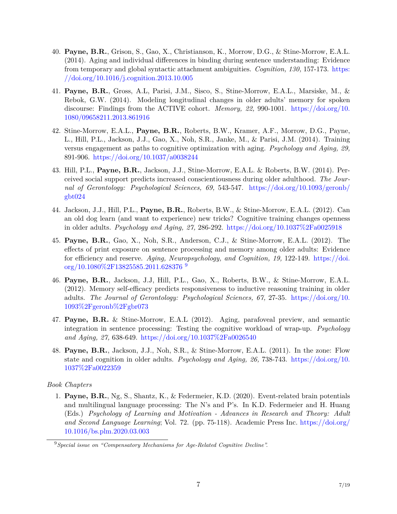- 40. **Payne, B.R.**, Grison, S., Gao, X., Christianson, K., Morrow, D.G., & Stine-Morrow, E.A.L. (2014). Aging and individual differences in binding during sentence understanding: Evidence from temporary and global syntactic attachment ambiguities. *Cognition, 130,* 157-173. [https:](https://doi.org/10.1016/j.cognition.2013.10.005) [//doi.org/10.1016/j.cognition.2013.10.005](https://doi.org/10.1016/j.cognition.2013.10.005)
- 41. **Payne, B.R.**, Gross, A.L, Parisi, J.M., Sisco, S., Stine-Morrow, E.A.L., Marsiske, M., & Rebok, G.W. (2014). Modeling longitudinal changes in older adults' memory for spoken discourse: Findings from the ACTIVE cohort. *Memory, 22,* 990-1001. [https://doi.org/10.](https://doi.org/10.1080/09658211.2013.861916) [1080/09658211.2013.861916](https://doi.org/10.1080/09658211.2013.861916)
- 42. Stine-Morrow, E.A.L., **Payne, B.R.**, Roberts, B.W., Kramer, A.F., Morrow, D.G., Payne, L., Hill, P.L., Jackson, J.J., Gao, X., Noh, S.R., Janke, M., & Parisi, J.M. (2014). Training versus engagement as paths to cognitive optimization with aging. *Psychology and Aging, 29,* 891-906. <https://doi.org/10.1037/a0038244>
- 43. Hill, P.L., **Payne, B.R.**, Jackson, J.J., Stine-Morrow, E.A.L. & Roberts, B.W. (2014). Perceived social support predicts increased conscientiousness during older adulthood. *The Journal of Gerontology: Psychological Sciences, 69,* 543-547. [https://doi.org/10.1093/geronb/](https://doi.org/10.1093/geronb/gbt024) [gbt024](https://doi.org/10.1093/geronb/gbt024)
- 44. Jackson, J.J., Hill, P.L., **Payne, B.R.**, Roberts, B.W., & Stine-Morrow, E.A.L. (2012). Can an old dog learn (and want to experience) new tricks? Cognitive training changes openness in older adults. *Psychology and Aging, 27,* 286-292. <https://doi.org/10.1037%2Fa0025918>
- 45. **Payne, B.R.**, Gao, X., Noh, S.R., Anderson, C.J., & Stine-Morrow, E.A.L. (2012). The effects of print exposure on sentence processing and memory among older adults: Evidence for efficiency and reserve. *Aging, Neuropsychology, and Cognition, 19,* 122-149. [https://doi.](https://doi.org/10.1080%2F13825585.2011.628376) [org/10.1080%2F13825585.2011.628376](https://doi.org/10.1080%2F13825585.2011.628376) [9](#page-6-0)
- 46. **Payne, B.R.**, Jackson, J.J, Hill, P.L., Gao, X., Roberts, B.W., & Stine-Morrow, E.A.L. (2012). Memory self-efficacy predicts responsiveness to inductive reasoning training in older adults. *The Journal of Gerontology: Psychological Sciences, 67,* 27-35. [https://doi.org/10.](https://doi.org/10.1093%2Fgeronb%2Fgbr073) [1093%2Fgeronb%2Fgbr073](https://doi.org/10.1093%2Fgeronb%2Fgbr073)
- 47. **Payne, B.R.** & Stine-Morrow, E.A.L (2012). Aging, parafoveal preview, and semantic integration in sentence processing: Testing the cognitive workload of wrap-up. *Psychology and Aging, 27,* 638-649. <https://doi.org/10.1037%2Fa0026540>
- 48. **Payne, B.R.**, Jackson, J.J., Noh, S.R., & Stine-Morrow, E.A.L. (2011). In the zone: Flow state and cognition in older adults. *Psychology and Aging, 26,* 738-743. [https://doi.org/10.](https://doi.org/10.1037%2Fa0022359) [1037%2Fa0022359](https://doi.org/10.1037%2Fa0022359)

*Book Chapters*

1. **Payne, B.R.**, Ng, S., Shantz, K., & Federmeier, K.D. (2020). Event-related brain potentials and multilingual language processing: The N's and P's. In K.D. Federmeier and H. Huang (Eds.) *Psychology of Learning and Motivation - Advances in Research and Theory: Adult and Second Language Learning*; Vol. 72. (pp. 75-118). Academic Press Inc. [https://doi.org/](https://doi.org/10.1016/bs.plm.2020.03.003) [10.1016/bs.plm.2020.03.003](https://doi.org/10.1016/bs.plm.2020.03.003)

<span id="page-6-0"></span><sup>9</sup>*Special issue on "Compensatory Mechanisms for Age-Related Cognitive Decline".*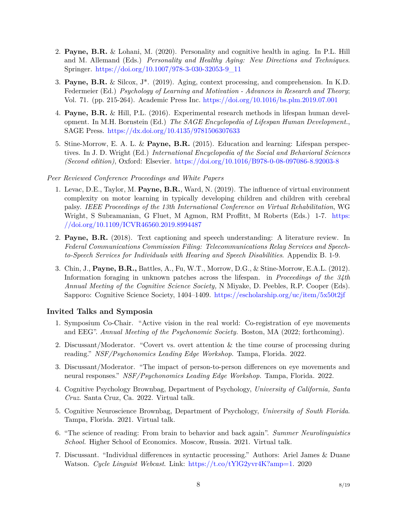- 2. **Payne, B.R.** & Lohani, M. (2020). Personality and cognitive health in aging. In P.L. Hill and M. Allemand (Eds.) *Personality and Healthy Aging: New Directions and Techniques*. Springer. [https://doi.org/10.1007/978-3-030-32053-9\\_11](https://doi.org/10.1007/978-3-030-32053-9_11)
- 3. **Payne, B.R.** & Silcox, J\*. (2019). Aging, context processing, and comprehension. In K.D. Federmeier (Ed.) *Psychology of Learning and Motivation - Advances in Research and Theory*; Vol. 71. (pp. 215-264). Academic Press Inc. <https://doi.org/10.1016/bs.plm.2019.07.001>
- 4. **Payne, B.R.** & Hill, P.L. (2016). Experimental research methods in lifespan human development. In M.H. Bornstein (Ed.) *The SAGE Encyclopedia of Lifespan Human Development.*, SAGE Press. <https://dx.doi.org/10.4135/9781506307633>
- 5. Stine-Morrow, E. A. L. & **Payne, B.R.** (2015). Education and learning: Lifespan perspectives. In J. D. Wright (Ed.) *International Encyclopedia of the Social and Behavioral Sciences (Second edition)*, Oxford: Elsevier. <https://doi.org/10.1016/B978-0-08-097086-8.92003-8>

#### *Peer Reviewed Conference Proceedings and White Papers*

- 1. Levac, D.E., Taylor, M. **Payne, B.R.**, Ward, N. (2019). The influence of virtual environment complexity on motor learning in typically developing children and children with cerebral palsy. *IEEE Proceedings of the 13th International Conference on Virtual Rehabilitation*, WG Wright, S Subramanian, G Fluet, M Agmon, RM Proffitt, M Roberts (Eds.) 1-7. [https:](https://doi.org/10.1109/ICVR46560.2019.8994487) [//doi.org/10.1109/ICVR46560.2019.8994487](https://doi.org/10.1109/ICVR46560.2019.8994487)
- 2. **Payne, B.R.** (2018). Text captioning and speech understanding: A literature review. In *Federal Communications Commission Filing: Telecommunications Relay Services and Speechto-Speech Services for Individuals with Hearing and Speech Disabilities*. Appendix B. 1-9.
- 3. Chin, J., **Payne, B.R.,** Battles, A., Fu, W.T., Morrow, D.G., & Stine-Morrow, E.A.L. (2012). Information foraging in unknown patches across the lifespan. in *Proceedings of the 34th Annual Meeting of the Cognitive Science Society,* N Miyake, D. Peebles, R.P. Cooper (Eds). Sapporo: Cognitive Science Society, 1404–1409. <https://escholarship.org/uc/item/5x50t2jf>

#### **Invited Talks and Symposia**

- 1. Symposium Co-Chair. "Active vision in the real world: Co-registration of eye movements and EEG". *Annual Meeting of the Psychonomic Society.* Boston, MA (2022; forthcoming).
- 2. Discussant/Moderator. "Covert vs. overt attention & the time course of processing during reading." *NSF/Psychonomics Leading Edge Workshop.* Tampa, Florida. 2022.
- 3. Discussant/Moderator. "The impact of person-to-person differences on eye movements and neural responses." *NSF/Psychonomics Leading Edge Workshop.* Tampa, Florida. 2022.
- 4. Cognitive Psychology Brownbag, Department of Psychology, *University of California, Santa Cruz*. Santa Cruz, Ca. 2022. Virtual talk.
- 5. Cognitive Neuroscience Brownbag, Department of Psychology, *University of South Florida*. Tampa, Florida. 2021. Virtual talk.
- 6. "The science of reading: From brain to behavior and back again". *Summer Neurolinguistics School.* Higher School of Economics. Moscow, Russia. 2021. Virtual talk.
- 7. Discussant. "Individual differences in syntactic processing." Authors: Ariel James & Duane Watson. *Cycle Linguist Webcast*. Link: <https://t.co/tYlG2yvr4K?amp=1>. 2020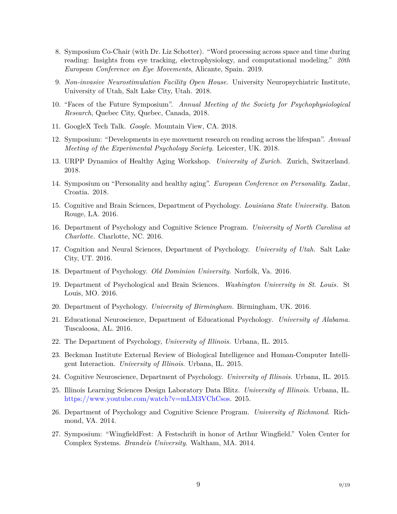- 8. Symposium Co-Chair (with Dr. Liz Schotter). "Word processing across space and time during reading: Insights from eye tracking, electrophysiology, and computational modeling." *20th European Conference on Eye Movements*, Alicante, Spain. 2019.
- 9. *Non-invasive Neurostimulation Facility Open House*. University Neuropsychiatric Institute, University of Utah, Salt Lake City, Utah. 2018.
- 10. "Faces of the Future Symposium". *Annual Meeting of the Society for Psychophysiological Research*, Quebec City, Quebec, Canada, 2018.
- 11. GoogleX Tech Talk. *Google*. Mountain View, CA. 2018.
- 12. Symposium: "Developments in eye movement research on reading across the lifespan". *Annual Meeting of the Experimental Psychology Society*. Leicester, UK. 2018.
- 13. URPP Dynamics of Healthy Aging Workshop. *University of Zurich.* Zurich, Switzerland. 2018.
- 14. Symposium on "Personality and healthy aging". *European Conference on Personality*. Zadar, Croatia. 2018.
- 15. Cognitive and Brain Sciences, Department of Psychology. *Louisiana State University.* Baton Rouge, LA. 2016.
- 16. Department of Psychology and Cognitive Science Program. *University of North Carolina at Charlotte.* Charlotte, NC. 2016.
- 17. Cognition and Neural Sciences, Department of Psychology. *University of Utah.* Salt Lake City, UT. 2016.
- 18. Department of Psychology. *Old Dominion University.* Norfolk, Va. 2016.
- 19. Department of Psychological and Brain Sciences. *Washington University in St. Louis.* St Louis, MO. 2016.
- 20. Department of Psychology. *University of Birmingham.* Birmingham, UK. 2016.
- 21. Educational Neuroscience, Department of Educational Psychology. *University of Alabama.* Tuscaloosa, AL. 2016.
- 22. The Department of Psychology, *University of Illinois.* Urbana, IL. 2015.
- 23. Beckman Institute External Review of Biological Intelligence and Human-Computer Intelligent Interaction. *University of Illinois*. Urbana, IL. 2015.
- 24. Cognitive Neuroscience, Department of Psychology. *University of Illinois*. Urbana, IL. 2015.
- 25. Illinois Learning Sciences Design Laboratory Data Blitz. *University of Illinois*. Urbana, IL. <https://www.youtube.com/watch?v=mLM3VChCsos>. 2015.
- 26. Department of Psychology and Cognitive Science Program. *University of Richmond*. Richmond, VA. 2014.
- 27. Symposium: "WingfieldFest: A Festschrift in honor of Arthur Wingfield." Volen Center for Complex Systems. *Brandeis University*. Waltham, MA. 2014.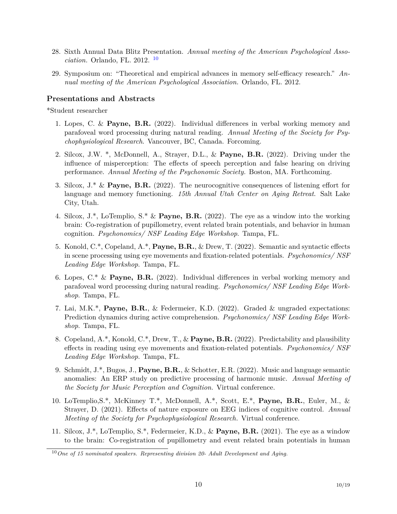- 28. Sixth Annual Data Blitz Presentation. *Annual meeting of the American Psychological Association.* Orlando, FL. 2012. [10](#page-9-0)
- 29. Symposium on: "Theoretical and empirical advances in memory self-efficacy research." *Annual meeting of the American Psychological Association.* Orlando, FL. 2012.

### **Presentations and Abstracts**

\*Student researcher

- 1. Lopes, C. & **Payne, B.R.** (2022). Individual differences in verbal working memory and parafoveal word processing during natural reading. *Annual Meeting of the Society for Psychophysiological Research*. Vancouver, BC, Canada. Forcoming.
- 2. Silcox, J.W. \*, McDonnell, A., Strayer, D.L., & **Payne, B.R.** (2022). Driving under the influence of misperception: The effects of speech perception and false hearing on driving performance. *Annual Meeting of the Psychonomic Society.* Boston, MA. Forthcoming.
- 3. Silcox, J.\* & **Payne, B.R.** (2022). The neurocognitive consequences of listening effort for language and memory functioning. *15th Annual Utah Center on Aging Retreat*. Salt Lake City, Utah.
- 4. Silcox, J.\*, LoTemplio, S.\* & **Payne, B.R.** (2022). The eye as a window into the working brain: Co-registration of pupillometry, event related brain potentials, and behavior in human cognition. *Psychonomics/ NSF Leading Edge Workshop*. Tampa, FL.
- 5. Konold, C.\*, Copeland, A.\*, **Payne, B.R.**, & Drew, T. (2022). Semantic and syntactic effects in scene processing using eye movements and fixation-related potentials. *Psychonomics/ NSF Leading Edge Workshop*. Tampa, FL.
- 6. Lopes, C.\* & **Payne, B.R.** (2022). Individual differences in verbal working memory and parafoveal word processing during natural reading. *Psychonomics/ NSF Leading Edge Workshop*. Tampa, FL.
- 7. Lai, M.K.\*, **Payne, B.R.**, & Federmeier, K.D. (2022). Graded & ungraded expectations: Prediction dynamics during active comprehension. *Psychonomics/ NSF Leading Edge Workshop*. Tampa, FL.
- 8. Copeland, A.\*, Konold, C.\*, Drew, T., & **Payne, B.R.** (2022). Predictability and plausibility effects in reading using eye movements and fixation-related potentials. *Psychonomics/ NSF Leading Edge Workshop*. Tampa, FL.
- 9. Schmidt, J.\*, Bugos, J., **Payne, B.R.**, & Schotter, E.R. (2022). Music and language semantic anomalies: An ERP study on predictive processing of harmonic music. *Annual Meeting of the Society for Music Perception and Cognition.* Virtual conference.
- 10. LoTemplio,S.\*, McKinney T.\*, McDonnell, A.\*, Scott, E.\*, **Payne, B.R.**, Euler, M., & Strayer, D. (2021). Effects of nature exposure on EEG indices of cognitive control. *Annual Meeting of the Society for Psychophysiological Research.* Virtual conference.
- 11. Silcox, J.\*, LoTemplio, S.\*, Federmeier, K.D., & **Payne, B.R.** (2021). The eye as a window to the brain: Co-registration of pupillometry and event related brain potentials in human

<span id="page-9-0"></span><sup>10</sup>*One of 15 nominated speakers. Representing division 20- Adult Development and Aging.*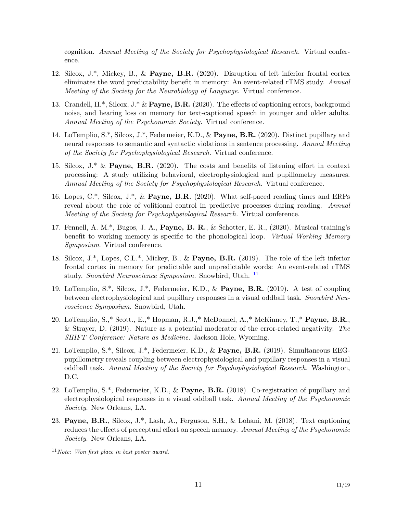cognition. *Annual Meeting of the Society for Psychophysiological Research.* Virtual conference.

- 12. Silcox, J.\*, Mickey, B., & **Payne, B.R.** (2020). Disruption of left inferior frontal cortex eliminates the word predictability benefit in memory: An event-related rTMS study. *Annual Meeting of the Society for the Neurobiology of Language.* Virtual conference.
- 13. Crandell, H.\*, Silcox, J.\* & **Payne, B.R.** (2020). The effects of captioning errors, background noise, and hearing loss on memory for text-captioned speech in younger and older adults. *Annual Meeting of the Psychonomic Society.* Virtual conference.
- 14. LoTemplio, S.\*, Silcox, J.\*, Federmeier, K.D., & **Payne, B.R.** (2020). Distinct pupillary and neural responses to semantic and syntactic violations in sentence processing. *Annual Meeting of the Society for Psychophysiological Research.* Virtual conference.
- 15. Silcox, J.\* & **Payne, B.R.** (2020). The costs and benefits of listening effort in context processing: A study utilizing behavioral, electrophysiological and pupillometry measures. *Annual Meeting of the Society for Psychophysiological Research.* Virtual conference.
- 16. Lopes, C.\*, Silcox, J.\*, & **Payne, B.R.** (2020). What self-paced reading times and ERPs reveal about the role of volitional control in predictive processes during reading. *Annual Meeting of the Society for Psychophysiological Research.* Virtual conference.
- 17. Fennell, A. M.\*, Bugos, J. A., **Payne, B. R.**, & Schotter, E. R., (2020). Musical training's benefit to working memory is specific to the phonological loop. *Virtual Working Memory Symposium*. Virtual conference.
- 18. Silcox, J.\*, Lopes, C.L.\*, Mickey, B., & **Payne, B.R.** (2019). The role of the left inferior frontal cortex in memory for predictable and unpredictable words: An event-related rTMS study. *Snowbird Neuroscience Symposium.* Snowbird, Utah. [11](#page-10-0)
- 19. LoTemplio, S.\*, Silcox, J.\*, Federmeier, K.D., & **Payne, B.R.** (2019). A test of coupling between electrophysiological and pupillary responses in a visual oddball task. *Snowbird Neuroscience Symposium.* Snowbird, Utah.
- 20. LoTemplio, S.,\* Scott., E.,\* Hopman, R.J.,\* McDonnel, A.,\* McKinney, T.,\* **Payne, B.R.**, & Strayer, D. (2019). Nature as a potential moderator of the error-related negativity. *The SHIFT Conference: Nature as Medicine.* Jackson Hole, Wyoming.
- 21. LoTemplio, S.\*, Silcox, J.\*, Federmeier, K.D., & **Payne, B.R.** (2019). Simultaneous EEGpupillometry reveals coupling between electrophysiological and pupillary responses in a visual oddball task. *Annual Meeting of the Society for Psychophysiological Research.* Washington, D.C.
- 22. LoTemplio, S.\*, Federmeier, K.D., & **Payne, B.R.** (2018). Co-registration of pupillary and electrophysiological responses in a visual oddball task. *Annual Meeting of the Psychonomic Society*. New Orleans, LA.
- 23. **Payne, B.R.**, Silcox, J.\*, Lash, A., Ferguson, S.H., & Lohani, M. (2018). Text captioning reduces the effects of perceptual effort on speech memory. *Annual Meeting of the Psychonomic Society*. New Orleans, LA.

<span id="page-10-0"></span><sup>11</sup>*Note: Won first place in best poster award.*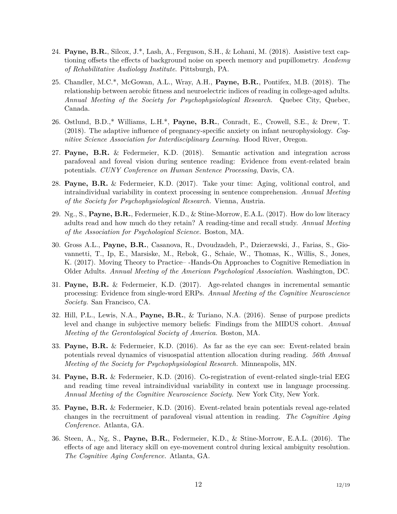- 24. **Payne, B.R.**, Silcox, J.\*, Lash, A., Ferguson, S.H., & Lohani, M. (2018). Assistive text captioning offsets the effects of background noise on speech memory and pupillometry. *Academy of Rehabilitative Audiology Institute*. Pittsburgh, PA.
- 25. Chandler, M.C.\*, McGowan, A.L., Wray, A.H., **Payne, B.R.**, Pontifex, M.B. (2018). The relationship between aerobic fitness and neuroelectric indices of reading in college-aged adults. *Annual Meeting of the Society for Psychophysiological Research.* Quebec City, Quebec, Canada.
- 26. Ostlund, B.D.,\* Williams, L.H.\*, **Payne, B.R.**, Conradt, E., Crowell, S.E., & Drew, T. (2018). The adaptive influence of pregnancy-specific anxiety on infant neurophysiology. *Cognitive Science Association for Interdisciplinary Learning*. Hood River, Oregon.
- 27. **Payne, B.R.** & Federmeier, K.D. (2018). Semantic activation and integration across parafoveal and foveal vision during sentence reading: Evidence from event-related brain potentials. *CUNY Conference on Human Sentence Processing*, Davis, CA.
- 28. **Payne, B.R.** & Federmeier, K.D. (2017). Take your time: Aging, volitional control, and intraindividual variability in context processing in sentence comprehension. *Annual Meeting of the Society for Psychophysiological Research.* Vienna, Austria.
- 29. Ng., S., **Payne, B.R.**, Federmeier, K.D., & Stine-Morrow, E.A.L. (2017). How do low literacy adults read and how much do they retain? A reading-time and recall study. *Annual Meeting of the Association for Psychological Science.* Boston, MA.
- 30. Gross A.L., **Payne, B.R.**, Casanova, R., Dvoudzadeh, P., Dzierzewski, J., Farias, S., Giovannetti, T., Ip, E., Marsiske, M., Rebok, G., Schaie, W., Thomas, K., Willis, S., Jones, K. (2017). Moving Theory to Practice– -Hands-On Approaches to Cognitive Remediation in Older Adults. *Annual Meeting of the American Psychological Association*. Washington, DC.
- 31. **Payne, B.R.** & Federmeier, K.D. (2017). Age-related changes in incremental semantic processing: Evidence from single-word ERPs. *Annual Meeting of the Cognitive Neuroscience Society.* San Francisco, CA.
- 32. Hill, P.L., Lewis, N.A., **Payne, B.R.**, & Turiano, N.A. (2016). Sense of purpose predicts level and change in subjective memory beliefs: Findings from the MIDUS cohort. *Annual Meeting of the Gerontological Society of America*. Boston, MA.
- 33. **Payne, B.R.** & Federmeier, K.D. (2016). As far as the eye can see: Event-related brain potentials reveal dynamics of visuospatial attention allocation during reading. *56th Annual Meeting of the Society for Psychophysiological Research.* Minneapolis, MN.
- 34. **Payne, B.R.** & Federmeier, K.D. (2016). Co-registration of event-related single-trial EEG and reading time reveal intraindividual variability in context use in language processing. *Annual Meeting of the Cognitive Neuroscience Society.* New York City, New York.
- 35. **Payne, B.R.** & Federmeier, K.D. (2016). Event-related brain potentials reveal age-related changes in the recruitment of parafoveal visual attention in reading. *The Cognitive Aging Conference.* Atlanta, GA.
- 36. Steen, A., Ng, S., **Payne, B.R.**, Federmeier, K.D., & Stine-Morrow, E.A.L. (2016). The effects of age and literacy skill on eye-movement control during lexical ambiguity resolution. *The Cognitive Aging Conference.* Atlanta, GA.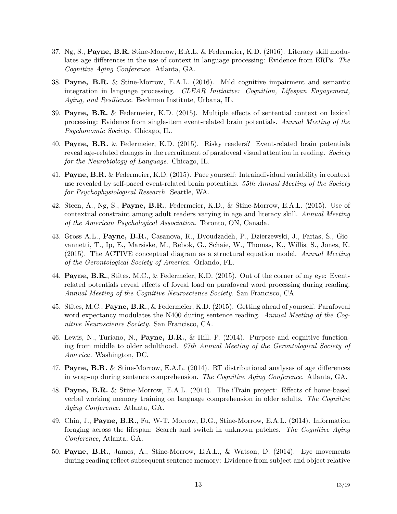- 37. Ng, S., **Payne, B.R.** Stine-Morrow, E.A.L. & Federmeier, K.D. (2016). Literacy skill modulates age differences in the use of context in language processing: Evidence from ERPs. *The Cognitive Aging Conference.* Atlanta, GA.
- 38. **Payne, B.R.** & Stine-Morrow, E.A.L. (2016). Mild cognitive impairment and semantic integration in language processing. *CLEAR Initiative: Cognition, Lifespan Engagement, Aging, and Resilience.* Beckman Institute, Urbana, IL.
- 39. **Payne, B.R.** & Federmeier, K.D. (2015). Multiple effects of sentential context on lexical processing: Evidence from single-item event-related brain potentials. *Annual Meeting of the Psychonomic Society.* Chicago, IL.
- 40. **Payne, B.R.** & Federmeier, K.D. (2015). Risky readers? Event-related brain potentials reveal age-related changes in the recruitment of parafoveal visual attention in reading. *Society for the Neurobiology of Language.* Chicago, IL.
- 41. **Payne, B.R.** & Federmeier, K.D. (2015). Pace yourself: Intraindividual variability in context use revealed by self-paced event-related brain potentials. *55th Annual Meeting of the Society for Psychophysiological Research.* Seattle, WA.
- 42. Steen, A., Ng, S., **Payne, B.R.**, Federmeier, K.D., & Stine-Morrow, E.A.L. (2015). Use of contextual constraint among adult readers varying in age and literacy skill. *Annual Meeting of the American Psychological Association.* Toronto, ON, Canada.
- 43. Gross A.L., **Payne, B.R.**, Casanova, R., Dvoudzadeh, P., Dzierzewski, J., Farias, S., Giovannetti, T., Ip, E., Marsiske, M., Rebok, G., Schaie, W., Thomas, K., Willis, S., Jones, K. (2015). The ACTIVE conceptual diagram as a structural equation model. *Annual Meeting of the Gerontological Society of America.* Orlando, FL.
- 44. **Payne, B.R.**, Stites, M.C., & Federmeier, K.D. (2015). Out of the corner of my eye: Eventrelated potentials reveal effects of foveal load on parafoveal word processing during reading. *Annual Meeting of the Cognitive Neuroscience Society.* San Francisco, CA.
- 45. Stites, M.C., **Payne, B.R.**, & Federmeier, K.D. (2015). Getting ahead of yourself: Parafoveal word expectancy modulates the N400 during sentence reading. *Annual Meeting of the Cognitive Neuroscience Society.* San Francisco, CA.
- 46. Lewis, N., Turiano, N., **Payne, B.R.**, & Hill, P. (2014). Purpose and cognitive functioning from middle to older adulthood. *67th Annual Meeting of the Gerontological Society of America.* Washington, DC.
- 47. **Payne, B.R.** & Stine-Morrow, E.A.L. (2014). RT distributional analyses of age differences in wrap-up during sentence comprehension. *The Cognitive Aging Conference.* Atlanta, GA.
- 48. **Payne, B.R.** & Stine-Morrow, E.A.L. (2014). The iTrain project: Effects of home-based verbal working memory training on language comprehension in older adults. *The Cognitive Aging Conference.* Atlanta, GA.
- 49. Chin, J., **Payne, B.R.**, Fu, W-T, Morrow, D.G., Stine-Morrow, E.A.L. (2014). Information foraging across the lifespan: Search and switch in unknown patches. *The Cognitive Aging Conference*, Atlanta, GA.
- 50. **Payne, B.R.**, James, A., Stine-Morrow, E.A.L., & Watson, D. (2014). Eye movements during reading reflect subsequent sentence memory: Evidence from subject and object relative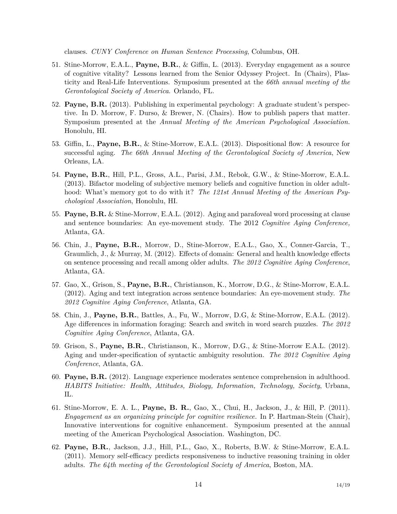clauses. *CUNY Conference on Human Sentence Processing*, Columbus, OH.

- 51. Stine-Morrow, E.A.L., **Payne, B.R.**, & Giffin, L. (2013). Everyday engagement as a source of cognitive vitality? Lessons learned from the Senior Odyssey Project. In (Chairs), Plasticity and Real-Life Interventions. Symposium presented at the *66th annual meeting of the Gerontological Society of America*. Orlando, FL.
- 52. **Payne, B.R.** (2013). Publishing in experimental psychology: A graduate student's perspective. In D. Morrow, F. Durso, & Brewer, N. (Chairs). How to publish papers that matter. Symposium presented at the *Annual Meeting of the American Psychological Association.* Honolulu, HI.
- 53. Giffin, L., **Payne, B.R.**, & Stine-Morrow, E.A.L. (2013). Dispositional flow: A resource for successful aging. *The 66th Annual Meeting of the Gerontological Society of America*, New Orleans, LA.
- 54. **Payne, B.R.**, Hill, P.L., Gross, A.L., Parisi, J.M., Rebok, G.W., & Stine-Morrow, E.A.L. (2013). Bifactor modeling of subjective memory beliefs and cognitive function in older adulthood: What's memory got to do with it? *The 121st Annual Meeting of the American Psychological Association*, Honolulu, HI.
- 55. **Payne, B.R.** & Stine-Morrow, E.A.L. (2012). Aging and parafoveal word processing at clause and sentence boundaries: An eye-movement study. The 2012 *Cognitive Aging Conference,* Atlanta, GA.
- 56. Chin, J., **Payne, B.R.**, Morrow, D., Stine-Morrow, E.A.L., Gao, X., Conner-Garcia, T., Graumlich, J., & Murray, M. (2012). Effects of domain: General and health knowledge effects on sentence processing and recall among older adults. *The 2012 Cognitive Aging Conference*, Atlanta, GA.
- 57. Gao, X., Grison, S., **Payne, B.R.**, Christianson, K., Morrow, D.G., & Stine-Morrow, E.A.L. (2012). Aging and text integration across sentence boundaries: An eye-movement study. *The 2012 Cognitive Aging Conference*, Atlanta, GA.
- 58. Chin, J., **Payne, B.R.**, Battles, A., Fu, W., Morrow, D.G, & Stine-Morrow, E.A.L. (2012). Age differences in information foraging: Search and switch in word search puzzles. *The 2012 Cognitive Aging Conference*, Atlanta, GA.
- 59. Grison, S., **Payne, B.R.**, Christianson, K., Morrow, D.G., & Stine-Morrow E.A.L. (2012). Aging and under-specification of syntactic ambiguity resolution. *The 2012 Cognitive Aging Conference*, Atlanta, GA.
- 60. **Payne, B.R.** (2012). Language experience moderates sentence comprehension in adulthood. *HABITS Initiative: Health, Attitudes, Biology, Information, Technology, Society*, Urbana, IL.
- 61. Stine-Morrow, E. A. L., **Payne, B. R.**, Gao, X., Chui, H., Jackson, J., & Hill, P. (2011). *Engagement as an organizing principle for cognitive resilience.* In P. Hartman-Stein (Chair), Innovative interventions for cognitive enhancement. Symposium presented at the annual meeting of the American Psychological Association. Washington, DC.
- 62. **Payne, B.R.**, Jackson, J.J., Hill, P.L., Gao, X., Roberts, B.W. & Stine-Morrow, E.A.L. (2011). Memory self-efficacy predicts responsiveness to inductive reasoning training in older adults. *The 64th meeting of the Gerontological Society of America*, Boston, MA.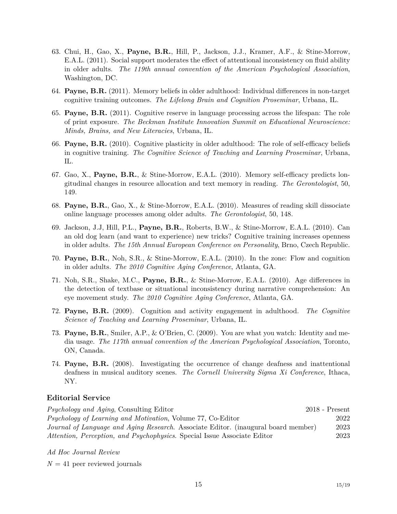- 63. Chui, H., Gao, X., **Payne, B.R.**, Hill, P., Jackson, J.J., Kramer, A.F., & Stine-Morrow, E.A.L. (2011). Social support moderates the effect of attentional inconsistency on fluid ability in older adults. *The 119th annual convention of the American Psychological Association*, Washington, DC.
- 64. **Payne, B.R.** (2011). Memory beliefs in older adulthood: Individual differences in non-target cognitive training outcomes. *The Lifelong Brain and Cognition Proseminar*, Urbana, IL.
- 65. **Payne, B.R.** (2011). Cognitive reserve in language processing across the lifespan: The role of print exposure. *The Beckman Institute Innovation Summit on Educational Neuroscience: Minds, Brains, and New Literacies*, Urbana, IL.
- 66. **Payne, B.R.** (2010). Cognitive plasticity in older adulthood: The role of self-efficacy beliefs in cognitive training. *The Cognitive Science of Teaching and Learning Proseminar*, Urbana, IL.
- 67. Gao, X., **Payne, B.R.**, & Stine-Morrow, E.A.L. (2010). Memory self-efficacy predicts longitudinal changes in resource allocation and text memory in reading. *The Gerontologist*, 50, 149.
- 68. **Payne, B.R.**, Gao, X., & Stine-Morrow, E.A.L. (2010). Measures of reading skill dissociate online language processes among older adults. *The Gerontologist*, 50, 148.
- 69. Jackson, J.J, Hill, P.L., **Payne, B.R.**, Roberts, B.W., & Stine-Morrow, E.A.L. (2010). Can an old dog learn (and want to experience) new tricks? Cognitive training increases openness in older adults. *The 15th Annual European Conference on Personality*, Brno, Czech Republic.
- 70. **Payne, B.R.**, Noh, S.R., & Stine-Morrow, E.A.L. (2010). In the zone: Flow and cognition in older adults. *The 2010 Cognitive Aging Conference*, Atlanta, GA.
- 71. Noh, S.R., Shake, M.C., **Payne, B.R.**, & Stine-Morrow, E.A.L. (2010). Age differences in the detection of textbase or situational inconsistency during narrative comprehension: An eye movement study. *The 2010 Cognitive Aging Conference*, Atlanta, GA.
- 72. **Payne, B.R.** (2009). Cognition and activity engagement in adulthood. *The Cognitive Science of Teaching and Learning Proseminar*, Urbana, IL.
- 73. **Payne, B.R.**, Smiler, A.P., & O'Brien, C. (2009). You are what you watch: Identity and media usage. *The 117th annual convention of the American Psychological Association*, Toronto, ON, Canada.
- 74. **Payne, B.R.** (2008). Investigating the occurrence of change deafness and inattentional deafness in musical auditory scenes. *The Cornell University Sigma Xi Conference*, Ithaca, NY.

# **Editorial Service**

| <i>Psychology and Aging</i> , Consulting Editor                                    | $2018$ - Present |
|------------------------------------------------------------------------------------|------------------|
| <i>Psychology of Learning and Motivation, Volume 77, Co-Editor</i>                 | 2022             |
| Journal of Language and Aging Research. Associate Editor. (inaugural board member) | 2023             |
| Attention, Perception, and Psychophysics. Special Issue Associate Editor           | 2023             |

*Ad Hoc Journal Review*

 $N = 41$  peer reviewed journals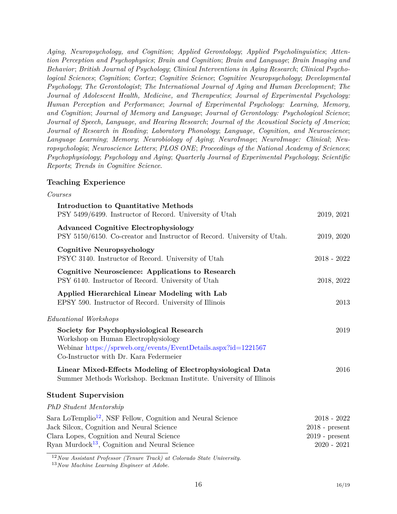*Aging, Neuropsychology, and Cognition*; *Applied Gerontology*; *Applied Psycholinguistics*; *Attention Perception and Psychophysics*; *Brain and Cognition*; *Brain and Language*; *Brain Imaging and Behavior*; *British Journal of Psychology*; *Clinical Interventions in Aging Research*; *Clinical Psychological Sciences*; *Cognition*; *Cortex*; *Cognitive Science*; *Cognitive Neuropsychology*; *Developmental Psychology*; *The Gerontologist*; *The International Journal of Aging and Human Development*; *The Journal of Adolescent Health, Medicine, and Therapeutics*; *Journal of Experimental Psychology: Human Perception and Performance*; *Journal of Experimental Psychology: Learning, Memory, and Cognition*; *Journal of Memory and Language*; *Journal of Gerontology: Psychological Science*; *Journal of Speech, Language, and Hearing Research*; *Journal of the Acoustical Society of America*; *Journal of Research in Reading*; *Laboratory Phonology*; *Language, Cognition, and Neuroscience*; *Language Learning*; *Memory*; *Neurobiology of Aging*; *NeuroImage*; *NeuroImage: Clinical*; *Neuropsychologia*; *Neuroscience Letters*; *PLOS ONE*; *Proceedings of the National Academy of Sciences*; *Psychophysiology*; *Psychology and Aging*; *Quarterly Journal of Experimental Psychology*; *Scientific Reports*; *Trends in Cognitive Science*.

## **Teaching Experience**

| Courses                                                                                                                                                                                                                        |                                                                        |
|--------------------------------------------------------------------------------------------------------------------------------------------------------------------------------------------------------------------------------|------------------------------------------------------------------------|
| Introduction to Quantitative Methods<br>PSY 5499/6499. Instructor of Record. University of Utah                                                                                                                                | 2019, 2021                                                             |
| <b>Advanced Cognitive Electrophysiology</b><br>PSY 5150/6150. Co-creator and Instructor of Record. University of Utah.                                                                                                         | 2019, 2020                                                             |
| <b>Cognitive Neuropsychology</b><br>PSYC 3140. Instructor of Record. University of Utah                                                                                                                                        | $2018 - 2022$                                                          |
| Cognitive Neuroscience: Applications to Research<br>PSY 6140. Instructor of Record. University of Utah                                                                                                                         | 2018, 2022                                                             |
| Applied Hierarchical Linear Modeling with Lab<br>EPSY 590. Instructor of Record. University of Illinois                                                                                                                        | 2013                                                                   |
| Educational Workshops                                                                                                                                                                                                          |                                                                        |
| Society for Psychophysiological Research<br>Workshop on Human Electrophysiology<br>Webinar https://sprweb.org/events/EventDetails.aspx?id=1221567<br>Co-Instructor with Dr. Kara Federmeier                                    | 2019                                                                   |
| Linear Mixed-Effects Modeling of Electrophysiological Data<br>Summer Methods Workshop. Beckman Institute. University of Illinois                                                                                               | 2016                                                                   |
| <b>Student Supervision</b>                                                                                                                                                                                                     |                                                                        |
| PhD Student Mentorship                                                                                                                                                                                                         |                                                                        |
| Sara LoTemplio <sup>12</sup> , NSF Fellow, Cognition and Neural Science<br>Jack Silcox, Cognition and Neural Science<br>Clara Lopes, Cognition and Neural Science<br>Ryan Murdock <sup>13</sup> , Cognition and Neural Science | $2018 - 2022$<br>$2018$ - present<br>$2019$ - present<br>$2020 - 2021$ |

<span id="page-15-0"></span><sup>12</sup>*Now Assistant Professor (Tenure Track) at Colorado State University.*

<span id="page-15-1"></span><sup>13</sup>*Now Machine Learning Engineer at Adobe.*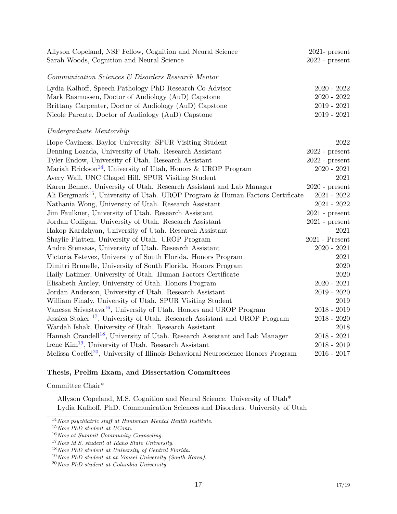| Allyson Copeland, NSF Fellow, Cognition and Neural Science<br>Sarah Woods, Cognition and Neural Science | $2021$ - present<br>$2022$ - present     |
|---------------------------------------------------------------------------------------------------------|------------------------------------------|
| Communication Sciences & Disorders Research Mentor                                                      |                                          |
| Lydia Kalhoff, Speech Pathology PhD Research Co-Advisor                                                 | $2020 - 2022$                            |
| Mark Rasmussen, Doctor of Audiology (AuD) Capstone                                                      | $2020 - 2022$                            |
| Brittany Carpenter, Doctor of Audiology (AuD) Capstone                                                  | $2019 - 2021$                            |
| Nicole Parente, Doctor of Audiology (AuD) Capstone                                                      | $2019 - 2021$                            |
| Undergraduate Mentorship                                                                                |                                          |
| Hope Caviness, Baylor University. SPUR Visiting Student                                                 | 2022                                     |
| Benning Lozada, University of Utah. Research Assistant                                                  | $2022$ - present                         |
| Tyler Endow, University of Utah. Research Assistant                                                     | $2022$ - $\ensuremath{\mathsf{present}}$ |
| Mariah Erickson <sup>14</sup> , University of Utah, Honors & UROP Program                               | $2020 - 2021$                            |
| Avery Wall, UNC Chapel Hill. SPUR Visiting Student                                                      | 2021                                     |
| Karen Bennet, University of Utah. Research Assistant and Lab Manager                                    | $2020$ - present                         |
| Ali Bergmark <sup>15</sup> , University of Utah. UROP Program & Human Factors Certificate               | $2021 - 2022$                            |
| Nathania Wong, University of Utah. Research Assistant                                                   | $2021 - 2022$                            |
| Jim Faulkner, University of Utah. Research Assistant                                                    | $2021$ - present                         |
| Jordan Colligan, University of Utah. Research Assistant                                                 | $2021$ - $\ensuremath{\mathsf{present}}$ |
| Hakop Kardzhyan, University of Utah. Research Assistant                                                 | 2021                                     |
| Shaylie Platten, University of Utah. UROP Program                                                       | $2021$ - Present                         |
| Andre Stensaas, University of Utah. Research Assistant                                                  | $2020 - 2021$                            |
| Victoria Estevez, University of South Florida. Honors Program                                           | 2021                                     |
| Dimitri Brunelle, University of South Florida. Honors Program                                           | 2020                                     |
| Haily Latimer, University of Utah. Human Factors Certificate                                            | 2020                                     |
| Elisabeth Antley, University of Utah. Honors Program                                                    | $2020 - 2021$                            |
| Jordan Anderson, University of Utah. Research Assistant                                                 | $2019 - 2020$                            |
| William Finaly, University of Utah. SPUR Visiting Student                                               | 2019                                     |
| Vanessa Srivastava <sup>16</sup> , University of Utah. Honors and UROP Program                          | $2018 - 2019$                            |
| Jessica Stoker <sup>17</sup> , University of Utah. Research Assistant and UROP Program                  | $2018 - 2020$                            |
| Wardah Ishak, University of Utah. Research Assistant                                                    | 2018                                     |
| Hannah Crandell <sup>18</sup> , University of Utah. Research Assistant and Lab Manager                  | $2018 - 2021$                            |
| Irene Kim <sup>19</sup> , University of Utah. Research Assistant                                        | $2018 - 2019$                            |
| Melissa Coeffel <sup>20</sup> , University of Illinois Behavioral Neuroscience Honors Program           | $2016 - 2017$                            |

#### **Thesis, Prelim Exam, and Dissertation Committees**

Committee Chair\*

Allyson Copeland, M.S. Cognition and Neural Science. University of Utah\* Lydia Kalhoff, PhD. Communication Sciences and Disorders. University of Utah

<span id="page-16-0"></span><sup>14</sup>*Now psychiatric staff at Huntsman Mental Health Institute.*

<span id="page-16-1"></span><sup>15</sup>*Now PhD student at UConn.*

<span id="page-16-2"></span><sup>16</sup>*Now at Summit Community Counseling.*

<span id="page-16-3"></span><sup>17</sup>*Now M.S. student at Idaho State University.*

<span id="page-16-4"></span><sup>18</sup>*Now PhD student at University of Central Florida.*

<span id="page-16-5"></span><sup>19</sup>*Now PhD student at at Yonsei University (South Korea).*

<span id="page-16-6"></span><sup>20</sup>*Now PhD student at Columbia University.*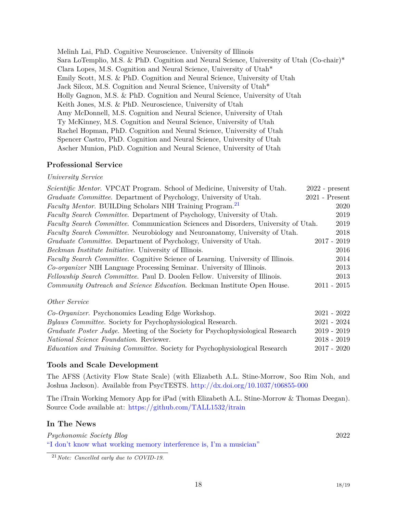Melinh Lai, PhD. Cognitive Neuroscience. University of Illinois Sara LoTemplio, M.S. & PhD. Cognition and Neural Science, University of Utah (Co-chair)\* Clara Lopes, M.S. Cognition and Neural Science, University of Utah\* Emily Scott, M.S. & PhD. Cognition and Neural Science, University of Utah Jack Silcox, M.S. Cognition and Neural Science, University of Utah\* Holly Gagnon, M.S. & PhD. Cognition and Neural Science, University of Utah Keith Jones, M.S. & PhD. Neuroscience, University of Utah Amy McDonnell, M.S. Cognition and Neural Science, University of Utah Ty McKinney, M.S. Cognition and Neural Science, University of Utah Rachel Hopman, PhD. Cognition and Neural Science, University of Utah Spencer Castro, PhD. Cognition and Neural Science, University of Utah Ascher Munion, PhD. Cognition and Neural Science, University of Utah

# **Professional Service**

## *University Service*

| Scientific Mentor. VPCAT Program. School of Medicine, University of Utah.                  | $2022$ - present |
|--------------------------------------------------------------------------------------------|------------------|
| Graduate Committee. Department of Psychology, University of Utah.                          | $2021$ - Present |
| <i>Faculty Mentor.</i> BUILDing Scholars NIH Training Program. <sup>21</sup>               | 2020             |
| <i>Faculty Search Committee.</i> Department of Psychology, University of Utah.             | 2019             |
| <i>Faculty Search Committee.</i> Communication Sciences and Disorders, University of Utah. | 2019             |
| Faculty Search Committee. Neurobiology and Neuroanatomy, University of Utah.               | 2018             |
| <i>Graduate Committee.</i> Department of Psychology, University of Utah.                   | $2017 - 2019$    |
| <i>Beckman Institute Initiative.</i> University of Illinois.                               | 2016             |
| <i>Faculty Search Committee.</i> Cognitive Science of Learning. University of Illinois.    | 2014             |
| <i>Co-organizer</i> NIH Language Processing Seminar. University of Illinois.               | 2013             |
| Fellowship Search Committee. Paul D. Doolen Fellow. University of Illinois.                | 2013             |
| Community Outreach and Science Education. Beckman Institute Open House.                    | $2011 - 2015$    |

# *Other Service*

| Co-Organizer. Psychonomics Leading Edge Workshop.                                 | $2021 - 2022$ |
|-----------------------------------------------------------------------------------|---------------|
| <i>Bylaws Committee.</i> Society for Psychophysiological Research.                | $2021 - 2024$ |
| Graduate Poster Judge. Meeting of the Society for Psychophysiological Research    | $2019 - 2019$ |
| <i>National Science Foundation.</i> Reviewer.                                     | $2018 - 2019$ |
| <i>Education and Training Committee.</i> Society for Psychophysiological Research | $2017 - 2020$ |
|                                                                                   |               |

# **Tools and Scale Development**

The AFSS (Activity Flow State Scale) (with Elizabeth A.L. Stine-Morrow, Soo Rim Noh, and Joshua Jackson). Available from PsycTESTS. <http://dx.doi.org/10.1037/t06855-000>

The iTrain Working Memory App for iPad (with Elizabeth A.L. Stine-Morrow & Thomas Deegan). Source Code available at: <https://github.com/TALL1532/itrain>

# **In The News**

*Psychonomic Society Blog* 2022 ["I don't know what working memory interference is, I'm a musician"](https://featuredcontent.psychonomic.org/i-dont-know-what-working-memory-interference-is-im-a-musician/)

<span id="page-17-0"></span><sup>21</sup>*Note: Cancelled early due to COVID-19.*

18 18/[19](#page-18-0)